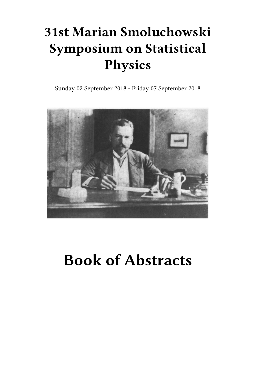## **31st Marian Smoluchowski Symposium on Statistical Physics**

Sunday 02 September 2018 - Friday 07 September 2018



# **Book of Abstracts**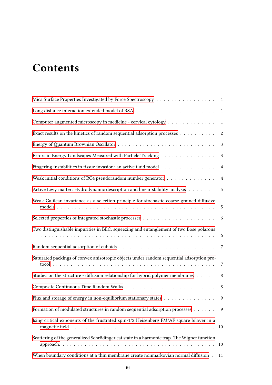## **Contents**

| Mica Surface Properties Investigated by Force Spectroscopy 1                                                                                                                                            |                 |
|---------------------------------------------------------------------------------------------------------------------------------------------------------------------------------------------------------|-----------------|
|                                                                                                                                                                                                         | $\mathbf{1}$    |
| Computer augmented microscopy in medicine - cervical cytology                                                                                                                                           | $\mathbf{1}$    |
| Exact results on the kinetics of random sequential adsorption processes                                                                                                                                 | $\sqrt{2}$      |
|                                                                                                                                                                                                         | 3               |
| Errors in Energy Landscapes Measured with Particle Tracking                                                                                                                                             | $\mathbf{3}$    |
| Fingering instabilities in tissue invasion: an active fluid model                                                                                                                                       | $\overline{4}$  |
| Weak initial conditions of RC4 pseudorandom number generator $\dots \dots \dots \dots \dots$                                                                                                            | $\overline{4}$  |
| Active Lèvy matter: Hydrodynamic description and linear stability analysis                                                                                                                              | 5               |
| Weak Galilean invariance as a selection principle for stochastic coarse-grained diffusive                                                                                                               | 5               |
|                                                                                                                                                                                                         | $6\overline{6}$ |
| Two distinguishable impurities in BEC: squeezing and entanglement of two Bose polarons<br>a constitution de la constitution de la constitution de la constitution de la constitution de la constitution | 6               |
|                                                                                                                                                                                                         |                 |
| Saturated packings of convex anisotropic objects under random sequential adsorption pro-                                                                                                                | 7               |
| Studies on the structure - diffusion relationship for hybrid polymer membranes                                                                                                                          | 8               |
|                                                                                                                                                                                                         | 8               |
| Flux and storage of energy in non-equilibrium stationary states                                                                                                                                         | $\overline{9}$  |
| Formation of modulated structures in random sequential adsorption processes                                                                                                                             | 9               |
| Ising critical exponents of the frustrated spin-1/2 Heisenberg FM/AF square bilayer in a                                                                                                                | 10              |
| Scattering of the generalized Schrödinger cat state in a harmonic trap. The Wigner function                                                                                                             | 10              |
| When boundary conditions at a thin membrane create nonmarkovian normal diffusion.                                                                                                                       | 11              |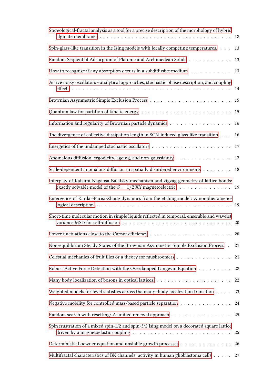| Stereological-fractal analysis as a tool for a precise description of the morphology of hybrid                                                          |        |
|---------------------------------------------------------------------------------------------------------------------------------------------------------|--------|
|                                                                                                                                                         |        |
| Spin-glass-like transition in the Ising models with locally competing temperatures.                                                                     | 13     |
| Random Sequential Adsorption of Platonic and Archimedean Solids                                                                                         | 13     |
| How to recognize if any absorption occurs in a subdiffusive medium $\dots \dots \dots$                                                                  | 13     |
| Active noisy oscillators - analytical approaches, stochastic phase description, and coupling                                                            |        |
|                                                                                                                                                         | 15     |
|                                                                                                                                                         | 15     |
|                                                                                                                                                         | 16     |
| The divergence of collective dissipation length in SCN-induced glass-like transition                                                                    | 16     |
|                                                                                                                                                         | 17     |
| Anomalous diffusion, ergodicity, ageing, and non-gaussianity                                                                                            | 17     |
| Scale-dependent anomalous diffusion in spatially disordered environments                                                                                | 18     |
| Interplay of Katsura-Nagaosa-Balatsky mechanism and zigzag geometry of lattice bonds:<br>exactly solvable model of the $S = 1/2$ XY magnetoelectric. 19 |        |
| Emergence of Kardar-Parisi-Zhang dynamics from the etching model: A nonphenomeno-                                                                       |        |
| Short-time molecular motion in simple liquids reflected in temporal, ensemble and wavelet                                                               | 20     |
|                                                                                                                                                         | 20     |
| Non-equilibrium Steady States of the Brownian Asymmetric Simple Exclusion Process .                                                                     | 21     |
| Celestial mechanics of fruit flies or a theory for mushroomers $\dots\dots\dots\dots\dots\dots$                                                         | 21     |
| Robust Active Force Detection with the Overdamped Langevin Equation                                                                                     | $22\,$ |
| Many body localization of bosons in optical lattices. $\dots \dots \dots \dots \dots \dots \dots \dots$                                                 | 22     |
| Weighted models for level statistics across the many-body localization transition                                                                       | 23     |
| Negative mobility for controlled mass-based particle separation                                                                                         | 24     |
|                                                                                                                                                         | 25     |
| Spin frustration of a mixed spin-1/2 and spin-3/2 Ising model on a decorated square lattice                                                             | 25     |
| Deterministic Loewner equation and unstable growth processes                                                                                            | 26     |
| Multifractal characteristics of BK channels' activity in human glioblastoma cells 27                                                                    |        |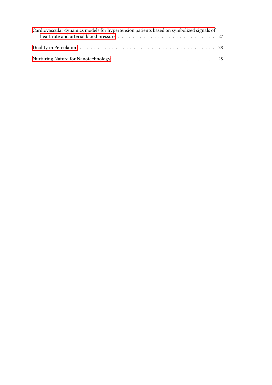| Cardiovascular dynamics models for hypertension patients based on symbolized signals of |  |
|-----------------------------------------------------------------------------------------|--|
|                                                                                         |  |
|                                                                                         |  |
|                                                                                         |  |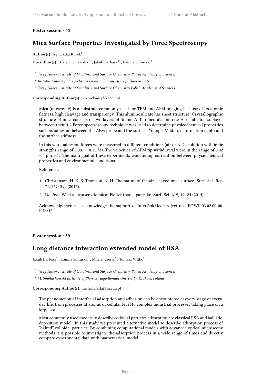<span id="page-6-0"></span>**Poster session** / **55**

## **Mica Surface Properties Investigated by Force Spectroscopy**

**Author(s):** Agnieszka Kurek<sup>1</sup>

 $\mathbf C$ o-author(s): Beata Cieniawska  $^1$  ; Jakub Barbasz  $^2$  ; Kamila Sofinska  $^3$ 

1 *Jerzy Haber Institute of Catalysis and Surface Chemistry, Polish Academy of Sciences*

2 *Instytut Katalizy i Fizyochemii Powierzchni im. Jerzego Habera PAN*

3 *Jerzy Haber Institute of Catalysis and Surface Chemistry Polish Academy of Sciences*

**Corresponding Author(s):** nckurek@cyf-kr.edu.pl

Mica (muscovite) is a substrate commonly used for TEM and AFM imaging because of its atomic flatness, high cleavage and transparency. This aluminosilicate has sheet structure. Crystallographic structure of mica consists of two layers of Si and Al tetrahedrals and one Al octahedral sublayer between them.1,2 Force spectroscopy technique was used to determine physicochemical properties such as adhesion between the AFM probe and the surface, Young's Moduli, deformation depth and the surface stiffness.

In this work adhesion forces were measured in different conditions (air or NaCl solution with ionic strengths range of  $0.001 - 0.15$  M). The velocities of AFM tip withdrawal were in the range of  $0.02$ – 5 μm s-1. The main goal of these experiments was finding correlation between physiochemical properties and environmental conditions.

References

- 1. Christenson, H. K. & Thomson, N. H. The nature of the air-cleaved mica surface. Surf. Sci. Rep. 71, 367–390 (2016).
- 2. De Poel, W. et al. Muscovite mica: Flatter than a pancake. Surf. Sci. 619, 19–24 (2014).

Acknowledgements: I acknowledge the support of InterDokMed project no. POWR.03.02.00-00- I013/16

<span id="page-6-1"></span>**Poster session** / **59**

## **Long distance interaction extended model of RSA**

Jakub Barbasz $^1$  ; Kamila Sofinska $^1$  ; Michal Ciesla $^2$  ; Tomasz Witko $^2$ 

1 *Jerzy Haber Institute of Catalysis and Surface Chemistry, Polish Academy of Sciences*

<sup>2</sup> *M. Smoluchowski Institute of Physics, Jagiellonian University, Kraków, Poland*

**Corresponding Author(s):** michal.ciesla@uj.edu.pl

The phenomenon of interfacial adsorption and adhesion can be encountered at every stage of everyday life, from processes at atomic or cellular level to complex industrial processes taking place on a large scale.

<span id="page-6-2"></span>Most commonly used models to describe colloidal particles adsorption are classical RSA and ballisticdeposition model. In this study we presented alternative model to describe adsorption process of "haired" colloidal particles. By combining computational models with advanced optical microscopy methods it is possible to investigate the adsorption process in a wide range of times and directly compare experimental data with mathematical model.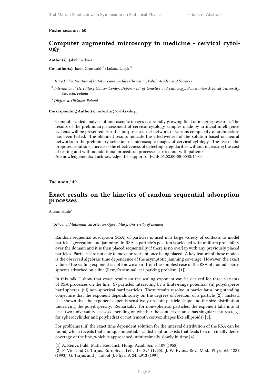#### **Poster session** / **60**

#### **Computer augmented microscopy in medicine - cervical cytology**

Author(s): Jakub Barbasz<sup>1</sup>

Co-author(s): Jacek Gronwald<sup>2</sup>; Łukasz Lasyk<sup>3</sup>

- 1 *Jerzy Haber Institute of Catalysis and Surface Chemistry, Polish Academy of Sciences*
- 2 *International Hereditary Cancer Center, Department of Genetics and Pathology, Pomeranian Medical University, Szczecin, Poland*

<sup>3</sup> *Digitmed, Oleśnica, Poland*

#### **Corresponding Author(s):** ncbarbas@cyf-kr.edu.pl

Computer aided analysis of microscopic images is a rapidly growing field of imaging research. The results of the preliminary assessment of cervical cytology samples made by artificial intelligence systems will be presented. For this purpose, a u-net network of various complexity of architecture has been tested. The obtained results indicate the effectiveness of the solution based on neural networks in the preliminary selection of microscopic images of cervical cytology. The use of the proposed solutions, increases the effectiveness of detecting irregularities without increasing the cost of testing and without additional procedural processes carried out with patients. Acknowledgements: I acknowledge the support of POIR.01.02.00-00-0038/15-00

<span id="page-7-0"></span>**Tue noon** / **49**

### **Exact results on the kinetics of random sequential adsorption processes**

Adrian Baule<sup>1</sup>

1 *School of Mathematical Sciences Queen Mary, University of London*

Random sequential adsorption (RSA) of particles is used in a large variety of contexts to model particle aggregation and jamming. In RSA, a particle's position is selected with uniform probability over the domain and it is then placed sequentially if there is no overlap with any previously placed particles. Particles are not able to move or reorient once being placed. A key feature of these models is the observed algebraic time dependence of the asymptotic jamming coverage. However, the exact value of the scaling exponent is not known apart from the simplest case of the RSA of monodisperse spheres adsorbed on a line (Renyi's seminal 'car parking problem' [1]).

In this talk, I show that exact results on the scaling exponent can be derived for three variants of RSA processes on the line: (i) particles interacting by a finite-range potential; (ii) polydisperse hard spheres; (iii) non-spherical hard particles. These results resolve in particular a long-standing conjecture that the exponent depends solely on the degrees of freedom of a particle [2]. Instead, it is shown that the exponent depends sensitively on both particle shape and the size distribution underlying the polydispersity. Remarkably, for non-spherical particles, the exponent falls into at least two universality classes depending on whether the contact distance has singular features (e.g., for spherocylinder and polyhedra) or not (smooth convex shapes like ellipsoids) [3].

For problems (i,ii) the exact time dependent solution for the interval distribution of the RSA can be found, which reveals that a unique potential/size distribution exists that leads to a maximally dense coverage of the line, which is approached infinitesimally slowly in time [4].

[1] A. Rényi, Publ. Math. Res. Inst. Hung. Acad. Sci. 3, 109 (1958).

[2] P. Viot and G. Tarjus, Europhys. Lett. 13, 295 (1990). J. W. Evans, Rev. Mod. Phys. 65, 1281 (1993). G. Tarjus and J. Talbot, J. Phys. A 24, L913 (1991).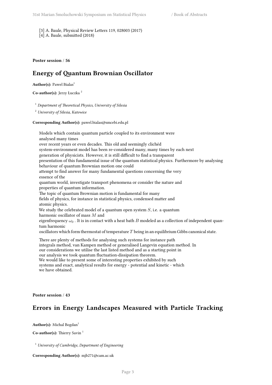[3] A. Baule, Physical Review Letters 119, 028003 (2017) [4] A. Baule, submitted (2018)

<span id="page-8-0"></span>**Poster session** / **56**

## **Energy of Quantum Brownian Oscillator**

Author(s): Pawel Bialas<sup>1</sup>

**Co-author(s):** Jerzy Łuczka <sup>2</sup>

<sup>1</sup> *Department of Theoretical Physics, University of Silesia*

<sup>2</sup> *University of Silesia, Katowice*

**Corresponding Author(s):** pawel.bialas@smcebi.edu.pl

Models which contain quantum particle coupled to its environment were analysed many times over recent years or even decades. This old and seemingly clichéd system-environment model has been re-considered many, many times by each next generation of physicists. However, it is still difficult to find a transparent presentation of this fundamental issue of the quantum statistical physics. Furthermore by analysing behaviour of quantum Brownian motion one could attempt to find answer for many fundamental questions concerning the very essence of the quantum world, investigate transport phenomena or consider the nature and properties of quantum information. The topic of quantum Brownian motion is fundamental for many fields of physics, for instance in statistical physics, condensed matter and atomic physics. We study the celebrated model of a quantum open system *S*, i.e. a quantum harmonic oscillator of mass *M* and eigenfrequency  $\omega_0$ . It is in contact with a heat bath *B* modeled as a collection of independent quantum harmonic oscillators which form thermostat of temperature *T* being in an equilibrium Gibbs canonical state. There are plenty of methods for analysing such systems for instance path integrals method, van Kampen method or generalised Langevin equation method. In our considerations we utilise the last listed method and as a starting point in our analysis we took quantum fluctuation-dissipation theorem.

We would like to present some of interesting properties exhibited by such systems and exact, analytical results for energy - potential and kinetic - which we have obtained.

<span id="page-8-1"></span>**Poster session** / **43**

## **Errors in Energy Landscapes Measured with Particle Tracking**

**Author(s):** Michal Bogdan<sup>1</sup>

**Co-author(s):** Thierry Savin<sup>1</sup>

<sup>1</sup> *University of Cambridge, Department of Engineering*

**Corresponding Author(s):** mjb271@cam.ac.uk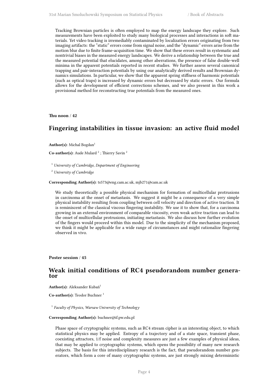Tracking Brownian particles is often employed to map the energy landscape they explore. Such measurements have been exploited to study many biological processes and interactions in soft materials. Yet video tracking is irremediably contaminated by localization errors originating from two imaging artifacts: the "static" errors come from signal noise, and the "dynamic" errors arise from the motion blur due to finite frame-acquisition time. We show that these errors result in systematic and nontrivial biases in the measured energy landscapes. We derive a relationship between the true and the measured potential that elucidates, among other aberrations, the presence of false double-well minima in the apparent potentials reported in recent studies. We further assess several canonical trapping and pair-interaction potentials by using our analytically derived results and Brownian dynamics simulations. In particular, we show that the apparent spring stiffness of harmonic potentials (such as optical traps) is increased by dynamic errors but decreased by static errors. Our formula allows for the development of efficient corrections schemes, and we also present in this work a provisional method for reconstructing true potentials from the measured ones.

<span id="page-9-0"></span>**Thu noon** / **42**

## **Fingering instabilities in tissue invasion: an active fluid model**

**Author(s):** Michal Bogdan<sup>1</sup>

Co-author(s): Aude Mulard<sup>2</sup>; Thierry Savin<sup>2</sup>

<sup>1</sup> *University of Cambridge, Department of Engineering*

<sup>2</sup> *University of Cambridge*

#### **Corresponding Author(s):** ts573@eng.cam.ac.uk, mjb271@cam.ac.uk

We study theoretically a possible physical mechanism for formation of multicellular protrusions in carcinoma at the onset of metastasis. We suggest it might be a consequence of a very simple physical instability resulting from coupling between cell velocity and direction of active traction. It is reminiscent of the classical viscous fingering instability. We use it to show that, for a carcinoma growing in an external environment of comparable viscosity, even weak active traction can lead to the onset of multicellular protrusions, initiating metastasis. We also discuss how further evolution of the fingers would proceed within this model. Due to the simplicity of the mechanism proposed, we think it might be applicable for a wide range of circumstances and might rationalize fingering observed in vivo.

<span id="page-9-1"></span>**Poster session** / **45**

#### **Weak initial conditions of RC4 pseudorandom number generator**

Author(s): Aleksander Kubań<sup>1</sup>

**Co-author(s):** Teodor Buchner <sup>1</sup>

1 *Faculty of Physics, Warsaw University of Technology*

#### **Corresponding Author(s):** buchner@if.pw.edu.pl

Phase space of cryptographic systems, such as RC4 stream cipher is an interesting object, to which statistical physics may be applied. Entropy of a trajectory and of a state space, transient phase, coexisting attractors, 1/f noise and complexity measures are just a few examples of physical ideas, that may be applied to cryptographic systems, which opens the possibility of many new research subjects. The basis for this interdisciplinary research is the fact, that pseudorandom number generators, which form a core of many cryptographic systems, are just strongly mixing deterministic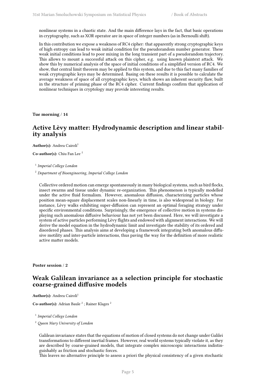nonlinear systems in a chaotic state. And the main difference lays in the fact, that basic operations in cryptography, such as XOR operator are in space of integer numbers (as in Bernoulli shift).

In this contribution we expose a weakness of RC4 cipher: that apparently strong cryptographic keys of high entropy can lead to weak initial condition for the pseudorandom number generator. These weak initial conditions lead to poor mixing in the long transient part of a pseudorandom trajectory. This allows to mount a successful attack on this cipher, e.g. using known plaintext attack. We show this by numerical analysis of the space of initial conditions of a simplified version of RC4. We show, that central limit theorem may be applied to this system, and due to this fact many families of weak cryptographic keys may be determined. Basing on these results it is possible to calculate the average weakness of space of all cryptographic keys, which shows an inherent security flaw, built in the structure of priming phase of the RC4 cipher. Current findings confirm that application of nonlinear techniques in cryptology may provide interesting results.

<span id="page-10-0"></span>**Tue morning** / **14**

## **Active Lèvy matter: Hydrodynamic description and linear stability analysis**

**Author(s):** Andrea Cairoli<sup>1</sup>

**Co-author(s):** Chiu Fan Lee <sup>2</sup>

1 *Imperial College London*

<sup>2</sup> *Department of Bioengineering, Imperial College London*

Collective ordered motion can emerge spontaneously in many biological systems, such as bird flocks, insect swarms and tissue under dynamic re-organization. This phenomenon is typically modelled under the active fluid formalism. However, anomalous diffusion, characterizing particles whose position mean-square displacement scales non-linearly in time, is also widespread in biology. For instance, Lèvy walks exhibiting super-diffusion can represent an optimal foraging strategy under specific environmental conditions. Surprisingly, the emergence of collective motion in systems displaying such anomalous diffusive behaviour has not yet been discussed. Here, we will investigate a system of active particles performing Lèvy flights and endowed with alignment interactions. We will derive the model equation in the hydrodynamic limit and investigate the stability of its ordered and disordered phases. This analysis aims at developing a framework integrating both anomalous diffusive motility and inter-particle interactions, thus paving the way for the definition of more realistic active matter models.

<span id="page-10-1"></span>**Poster session** / **2**

## **Weak Galilean invariance as a selection principle for stochastic coarse-grained diffusive models**

**Author(s):** Andrea Cairoli<sup>1</sup>

**Co-author(s):** Adrian Baule<sup>2</sup>; Rainer Klages<sup>2</sup>

1 *Imperial College London*

<sup>2</sup> *Queen Mary University of London*

Galilean invariance states that the equations of motion of closed systems do not change under Galilei transformations to different inertial frames. However, real world systems typically violate it, as they are described by coarse-grained models, that integrate complex microscopic interactions indistinguishably as friction and stochastic forces.

This leaves no alternative principle to assess a priori the physical consistency of a given stochastic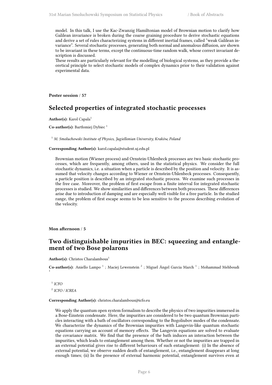model. In this talk, I use the Kac-Zwanzig Hamiltonian model of Brownian motion to clarify how Galilean invariance is broken during the coarse graining procedure to derive stochastic equations and derive a set of rules characterizing systems in different inertial frames, called "weak Galilean invariance". Several stochastic processes, generating both normal and anomalous diffusion, are shown to be invariant in these terms, except the continuous-time random walk, whose correct invariant description is discussed.

These results are particularly relevant for the modelling of biological systems, as they provide a theoretical principle to select stochastic models of complex dynamics prior to their validation against experimental data.

<span id="page-11-0"></span>**Poster session** / **57**

## **Selected properties of integrated stochastic processes**

Author(s): Karol Capala<sup>1</sup>

Co-author(s): Bartłomiej Dybiec<sup>1</sup>

<sup>1</sup> *M. Smoluchowski Institute of Physics, Jagiellonian University, Kraków, Poland*

#### **Corresponding Author(s):** karol.capala@student.uj.edu.pl

Brownian motion (Wiener process) and Ornstein-Uhlenbeck processes are two basic stochastic processes, which are frequently, among others, used in the statistical physics. We consider the full stochastic dynamics, i.e. a situation when a particle is described by the position and velocity. It is assumed that velocity changes according to Wiener or Ornstein-Uhlenbeck processes. Consequently, a particle position is described by an integrated stochastic process. We examine such processes in the free case. Moreover, the problem of first escape from a finite interval for integrated stochastic processes is studied. We show similarities and differences between both processes. These differences arise due to introduction of damping and are especially well visible for a free particle. In the studied range, the problem of first escape seems to be less sensitive to the process describing evolution of the velocity.

<span id="page-11-1"></span>**Mon afternoon** / **5**

#### **Two distinguishable impurities in BEC: squeezing and entanglement of two Bose polarons**

Author(s): Christos Charalambous<sup>1</sup>

Co-author(s): Aniello Lampo<sup>1</sup>; Maciej Lewenstein<sup>2</sup>; Miguel Ángel Garcia March<sup>1</sup>; Mohammad Mehboudi 1

1 *ICFO* 2 *ICFO / ICREA*

#### **Corresponding Author(s):** christos.charalambous@icfo.eu

We apply the quantum open system formalism to describe the physics of two impurities immersed in a Bose-Einstein condensate. Here, the impurities are considered to be two quantum Brownian particles interacting with a bath of oscillators corresponding to the Bogoliubov modes of the condensate. We characterize the dynamics of the Brownian impurities with Langevin-like quantum stochastic equations carrying an account of memory effects. The Langevin equations are solved to evaluate the covariance matrix. We find that the presence of the bath induces an interaction between the impurities, which leads to entanglement among them. Whether or not the impurities are trapped in an external potential gives rise to different behaviours of such entanglement: (i) In the absence of external potential, we observe sudden death of entanglement, i.e., entanglement disappears at long enough times; (ii) In the presence of external harmonic potential, entanglement survives even at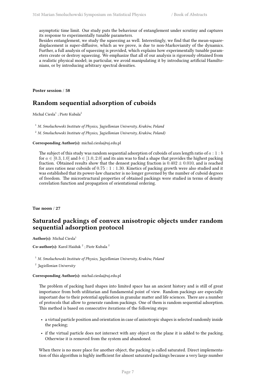asymptotic time limit. Our study puts the behaviour of entanglement under scrutiny and captures its response to experimentally tunable parameters.

Besides entanglement, we study the squeezing as well. Interestingly, we find that the mean-squaredisplacement is super-diffusive, which as we prove, is due to non-Markovianity of the dynamics. Further, a full analysis of squeezing is provided, which explains how experimentally tunable parameters create or destroy squeezing. We emphasize that all of our analysis is rigorously obtained from a realistic physical model; in particular, we avoid manipulating it by introducing artificial Hamiltonians, or by introducing arbitrary spectral densities.

**Poster session** / **58**

## **Random sequential adsorption of cuboids**

Michal Ciesla $^1$  ; Piotr Kubala $^2$ 

<sup>1</sup> *M. Smoluchowski Institute of Physics, Jagiellonian University, Kraków, Poland*

<sup>2</sup> *M. Smoluchowski Institute of Physics, Jagiellonian University, Kraków, Poland)*

#### **Corresponding Author(s):** michal.ciesla@uj.edu.pl

The subject of this study was random sequential adsorption of cuboids of axes length ratio of  $a: 1:b$ for  $a \in [0.3, 1.0]$  and  $b \in [1.0, 2.0]$  and its aim was to find a shape that provides the highest packing fraction. Obtained results show that the densest packing fraction is  $0.402 \pm 0.010$ , and is reached for axes ratios near cuboids of 0*.*75 : 1 : 1*.*30. Kinetics of packing growth were also studied and it was established that its power-law character is no longer governed by the number of cuboid degrees of freedom. The microstructural properties of obtained packings were studied in terms of density correlation function and propagation of orientational ordering.

<span id="page-12-0"></span>**Tue noon** / **27**

## **Saturated packings of convex anisotropic objects under random sequential adsorption protocol**

Author(s): Michal Ciesla<sup>1</sup>

Co-author(s): Karol Haiduk<sup>2</sup>; Piotr Kubala<sup>2</sup>

<sup>1</sup> *M. Smoluchowski Institute of Physics, Jagiellonian University, Kraków, Poland*

2 *Jagiellonian University*

**Corresponding Author(s):** michal.ciesla@uj.edu.pl

The problem of packing hard shapes into limited space has an ancient history and is still of great importance from both utilitarian and fundamental point of view. Random packings are especially important due to their potential application in granular matter and life sciences. There are a number of protocols that allow to generate random packings. One of them is random sequential adsorption. This method is based on consecutive iterations of the following steps:

- a virtual particle position and orientation in case of anisotropic shapes is selected randomly inside the packing;
- if the virtual particle does not intersect with any object on the plane it is added to the packing. Otherwise it is removed from the system and abandoned.

When there is no more place for another object, the packing is called saturated. Direct implementation of this algorithm is highly inefficient for almost saturated packings because a very large number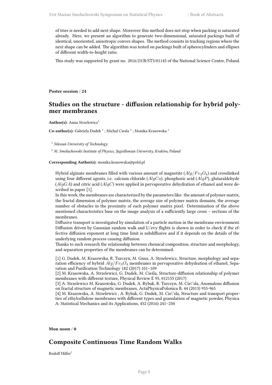of tries is needed to add next shape. Moreover this method does not stop when packing is saturated already. Here, we present an algorithm to generate two-dimensional, saturated packings built of identical, unoriented, anisotropic convex shapes. The method consists in tracking regions where the next shape can be added. The algorithm was tested on packings built of spherocylinders and ellipses of different width-to-height ratio.

This study was supported by grant no. 2016/23/B/ST3/01145 of the National Science Centre, Poland.

<span id="page-13-0"></span>**Poster session** / **24**

## **Studies on the structure - diffusion relationship for hybrid polymer membranes**

Author(s): Anna Strzelewicz<sup>1</sup>

**Co-author(s):** Gabriela Dudek<sup>1</sup>; Michal Ciesla<sup>2</sup>; Monika Krasowska<sup>1</sup>

1 *Silesian University of Technology*

<sup>2</sup> *M. Smoluchowski Institute of Physics, Jagiellonian University, Kraków, Poland*

**Corresponding Author(s):** monika.krasowska@polsl.pl

Hybrid alginate membranes filled with various amount of magnetite (*Alg*/*F e*3*O*4) and crosslinked using four different agents, i.e. calcium chloride (*AlgCa*), phosphoric acid (*AlgP*), glutaraldehyde (*AlgGA*) and citric acid (*AlgC*) were applied in pervaporative dehydration of ethanol and were described in paper [1].

In this work, the membranes are characterized by the parameters like: the amount of polymer matrix, the fractal dimension of polymer matrix, the average size of polymer matrix domains, the average number of obstacles in the proximity of each polymer matrix pixel. Determination of the above mentioned characteristics base on the image analysis of a sufficiently large cross – sections of the membranes.

Diffusive transport is investigated by simulation of a particle motion in the membrane environment. Diffusion driven by Gaussian random walk and L\'evy flights is shown in order to check if the effective diffusion exponent at long time limit is subdiffusive and if it depends on the details of the underlying random process causing diffusion.

Thanks to such research the relationship between chemical composition, structure and morphology, and separation properties of the membranes can be determined.

[1] G. Dudek, M. Krasowska, R. Turczyn, M. Gnus, A. Strzelewicz, Structure, morphology and separation efficiency of hybrid *Alg*/*F e*3*O*<sup>4</sup> membranes in pervaporative dehydration of ethanol, Separation and Purification Technology 182 (2017) 101–109

[2] M. Krasowska, A. Strzelewicz, G. Dudek, M. Cieśla, Structure-diffusion relationship of polymer membranes with different texture, Physical Review E 95, 012155 (2017)

[3] A. Strzelewicz M. Krasowska, G. Dudek, A. Rybak, R. Turczyn, M. Cie\'sla, Anomalous diffusion on fractal structure of magnetic membranes, ActaPhysicaPolonica B, 44 (2013) 955-965

[4] M. Krasowska, A. Strzelewicz , A. Rybak, G. Dudek, M. Cie\'sla, Structure and transport properties of ethylcellulose membranes with different types and granulation of magnetic powder, Physica A: Statistical Mechanics and its Applications, 452 (2016) 241–250

<span id="page-13-1"></span>**Mon noon** / **0**

## **Composite Continuous Time Random Walks**

Rudolf Hilfer<sup>1</sup>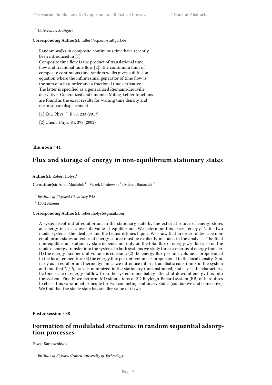<sup>1</sup> *Universitaet Stuttgart*

**Corresponding Author(s):** hilfer@icp.uni-stuttgart.de

Random walks in composite continuous time have recently been introduced in [1]. Composite time flow is the product of translational time flow and fractional time flow [2]. The continuum limit of composite continuous time random walks gives a diffusion equation where the infinitesimal generator of time flow is the sum of a first order and a fractional time derivative. The latter is specified as a generalized Riemann-Liouville derivative. Generalized and binomial Mittag-Leffler functions are found as the exact results for waiting time density and mean square displacement.

- [1] Eur. Phys. J. B 90, 233 (2017)
- [2] Chem. Phys. 84, 399 (2002)

#### <span id="page-14-0"></span>**Thu noon** / **41**

## **Flux and storage of energy in non-equilibrium stationary states**

Author(s): Robert Holyst<sup>1</sup>

 $\mathbf C$ o-author(s): Anna Maciolek  $^1$  ; Marek Litniewski  $^1$  ; Michal Banaszak  $^2$ 

1 *Institute of Physical Chemistry PAS*

<sup>2</sup> *UAM Poznan*

**Corresponding Author(s):** robert.holyst@gmail.com

A system kept out of equilibrium in the stationary state by the external source of energy stores an energy in excess over its value at equilibrium. We determine this excess energy,  $\vec{U}$  for two model systems: the ideal gas and the Lennard-Jones liquid. We show that in order to describe nonequilibirum states an external energy source must be explicitly included in the analysis. The final non-equilibrium, stationary state depends not only on the total flux of energy,  $J_U$ , but also on the mode of energy transfer into the system. In both systems we study three scenarios of energy transfer: (1) the energy flux per unit volume is constant; (2) the energy flux per unit volume is proportional to the local temperature (3) the energy flux per unit volume is proportional to the local density. Similarly as in equilibrium thermodynamics we introduce internal, adiabatic constraints in the system and find that  $U/J_U = \tau$  is minimized in the stationary (unconstrained) state.  $\tau$  is the characteristic time scale of energy outflow from the system immediately after shut-down of energy flux into the system. Finally we perform MD simulations of 2D Rayleigh-Benard system (RB) of hard discs to check this variational principle for two competing stationary states (conductive and convective). We find that the stable state has smaller value of  $U/J_U$ .

<span id="page-14-1"></span>**Poster session** / **38**

## **Formation of modulated structures in random sequential adsorption processes**

Pawel Karbowniczek<sup>1</sup>

<sup>1</sup> Institute of Physics, Cracow University of Technology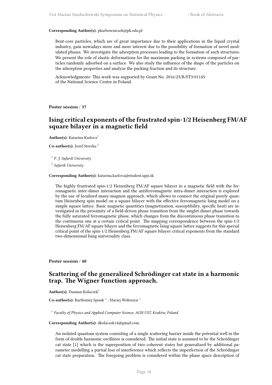#### **Corresponding Author(s):** pkarbowniczek@pk.edu.pl

Bent-core particles, which are of great importance due to their applications in the liquid crystal industry, gain nowadays more and more interest due to the possibility of formation of novel modulated phases. We investigate the adsorption processes leading to the formation of such structures. We present the role of elastic deformations for the maximum packing in systems composed of particles randomly adsorbed on a surface. We also study the influence of the shape of the particles on the adsorption properties and analyze the packing fraction and its structure.

Acknowledgments: This work was supported by Grant No. 2016/23/B/ST3/01145 of the National Science Centre in Poland.

<span id="page-15-0"></span>**Poster session** / **37**

## **Ising critical exponents of the frustrated spin-1/2 Heisenberg FM/AF square bilayer in a magnetic field**

**Author(s):** Katarina Karlova<sup>1</sup>

**Co-author(s):** Jozef Strecka <sup>2</sup>

1 *P. J. Safarik University*

2 *Safarik University*

#### **Corresponding Author(s):** katarina.karlova@student.upjs.sk

The highly frustrated spin-1/2 Heisenberg FM/AF square bilayer in a magnetic field with the ferromagnetic inter-dimer interaction and the antiferromagnetic intra-dimer interaction is explored by the use of localized many-magnon approach, which allows to connect the original purely quantum Heisenberg spin model on a square bilayer with the effective ferromagnetic Ising model on a simple square lattice. Basic magnetic quantities (magnetization, susceptibility, specific heat) are investigated in the proximity of a field-driven phase transition from the singlet-dimer phase towards the fully saturated ferromagnetic phase, which changes from the discontinuous phase transition to the continuous one at a certain critical point. The mapping correspondence between the spin-1/2 Heisenberg FM/AF square bilayer and the ferromagnetic Ising square lattice suggests for this special critical point of the spin-1/2 Heisenberg FM/AF square bilayer critical exponents from the standard two-dimensional Ising universality class.

<span id="page-15-1"></span>**Poster session** / **40**

## **Scattering of the generalized Schrödinger cat state in a harmonic trap. The Wigner function approach.**

**Author(s):** Damian Kolaczek<sup>1</sup>

Co-author(s): Bartłomiej Spisak<sup>1</sup>; Maciej Wołoszyn<sup>1</sup>

<sup>1</sup> Faculty of Physics and Applied Computer Science, AGH UST, Kraków, Polana

#### **Corresponding Author(s):** dkolaczek14@gmail.com

An isolated quantum system consisting of a single scattering barrier inside the potential well in the form of double harmonic oscillator is considered. The initial state is assumed to be the Schrödinger cat state [1] which is the superposition of two coherent states but generalized by additional parameter modelling a partial loss of interference which reflects the imperfection of the Schrödinger cat state preparation. The foregoing problem is considered within the phase space description of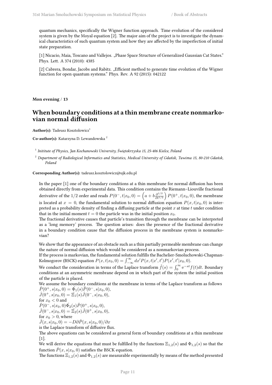quantum mechanics, specifically the Wigner function approach. Time evolution of the considered system is given by the Moyal equation [2]. The major aim of the project is to investigate the dynamical characteristics of such quantum system and how they are affected by the imperfection of initial state preparation.

[1] Nicacio, Maia, Toscano and Vallejos. "Phase Space Structure of Generalized Gaussian Cat States." Phys. Lett. A 374 (2010): 4385

[2] Cabrera, Bondar, Jacobs and Rabitz. "Efficient method to generate time evolution of the Wigner function for open quantum systems." Phys. Rev. A 92 (2015): 042122

**Mon evening** / **13**

## **When boundary conditions at a thin membrane create nonmarkovian normal diffusion**

**Author(s):** Tadeusz Kosztolowicz<sup>1</sup>

**Co-author(s):** Katarzyna D. Lewandowska <sup>2</sup>

1 *Inititute of Physics, Jan Kochanowski University, Świętokrzyska 15, 25-406 Kielce, Poland*

<sup>2</sup> *Department of Radiological Informatics and Statistics, Medical University of Gdańsk, Tuwima 15, 80-210 Gdańsk, Poland*

**Corresponding Author(s):** tadeusz.kosztolowicz@ujk.edu.pl

In the paper [1] one of the boundary conditions at a thin membrane for normal diffusion has been obtained directly from experimental data. This condition contains the Riemann–Liouville fractional derivative of the 1/2 order and reads  $P(0^-, t|x_0, 0) = \left(a + b\frac{\partial^{1/2}}{\partial t^{1/2}}\right)P(0^+, t|x_0, 0)$ , the membrane is located at  $x = 0$ , the fundamental solution to normal diffusion equation  $P(x, t|x_0, 0)$  is interpreted as a probability density of finding a diffusing particle at the point *x* at time *t* under condition that in the initial moment  $t = 0$  the particle was in the initial position  $x_0$ .

The fractional derivative causes that particle's transition through the membrane can be interpreted as a 'long memory' process. The question arises: does the presence of the fractional derivative in a boundary condition cause that the diffusion process in the membrane system is nonmarkovian?

We show that the appearance of an obstacle such as a thin partially permeable membrane can change the nature of normal diffusion which would be considered as a nonmarkovian process.

If the process is markovian, the fundamental solution fulfills the Bachelier-Smoluchowski-Chapman-Kolmogorov (BSCK) equation  $P(x, t|x_0, 0) = \int_{-\infty}^{\infty} dx' P(x, t|x', t') P(x', t'|x_0, 0)$ .

We conduct the consideration in terms of the Laplace transform  $\hat{f}(s) = \int_0^\infty e^{-st} f(t) dt$ . Boundary conditions at an asymmetric membrane depend on in which part of the system the initial position of the particle is placed.

We assume the boundary conditions at the membrane in terms of the Laplace transform as follows  $\hat{P}(0^+, s|x_0, 0) = \hat{\Phi}_1(s)\hat{P}(0^-, s|x_0, 0),$ 

 $\hat{J}(0^+, s|x_0, 0) = \Xi_1(s)\hat{J}(0^-, s|x_0, 0),$ for  $x_0 < 0$  and  $\hat{P}(0^-,s|x_0,0)\hat{\Phi_2}(s)\hat{P}(0^+,s|x_0,0),$  $\hat{J}(0^-, s|x_0, 0) = \hat{\Xi}_2(s)\hat{J}(0^+, s|x_0, 0),$ for  $x_0 > 0$ , where

 $\hat{J}(x, s|x_0, 0) = -D\partial \hat{P}(x, s|x_0, 0)/\partial x$ is the Laplace transform of diffusive flux.

The above equations can be considered as general form of boundary conditions at a thin membrane [1].

We will derive the equations that must be fulfilled by the functions  $\Xi_{1,2}(s)$  and  $\Phi_{1,2}(s)$  so that the function  $\hat{P}(x, s|x_0, 0)$  satisfies the BSCK equation.

The functions  $\Xi_{1,2}(s)$  and  $\Phi_{1,2}(s)$  are measurable experimentally by means of the method presented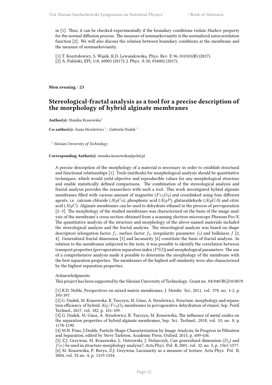in [1]. Thus, it can be checked experimentally if the boundary conditions violate Markov property for the normal diffusion process. The measure of nonmarkovianity is the normalized autocorrelation function [2]. We will also discuss the relation between boundary conditions at the membrane and the measure of nonmarkovianity.

[1] T. Kosztołowicz, S. Wąsik, K.D. Lewandowska, Phys. Rev. E 96, 010101(R) (2017). [2] A. Fuliński, EPL 118, 60002 (2017); J. Phys. A 50, 054002 (2017).

<span id="page-17-0"></span>**Mon evening** / **23**

## **Stereological-fractal analysis as a tool for a precise description of the morphology of hybrid alginate membranes**

Author(s): Monika Krasowska<sup>1</sup>

Co-author(s): Anna Strzelewicz<sup>1</sup>; Gabriela Dudek<sup>1</sup>

1 *Silesian University of Technology*

#### **Corresponding Author(s):** monika.krasowska@polsl.pl

A precise description of the morphology of a material is necessary in order to establish structural and functional relationships [1]. Tools (methods) for morphological analysis should be quantitative techniques, which would yield objective and reproducible values for any morphological structure and enable statistically defined comparisons. The combination of the stereological analysis and fractal analysis provides the researchers with such a tool. This work investigated hybrid alginate membranes filled with various amount of magnetite (*F e*3*O*4) and crosslinked using four different agents, i.e. calcium chloride (*AlgCa*), phosphoric acid (*AlgP*), glutaraldehyde (*AlgGA*) and citric acid (*AlgC*). Alginate membranes can be used to dehydrate ethanol in the process of pervaporation [2–3]. The morphology of the studied membranes was characterized on the basis of the image analysis of the membrane's cross-section obtained from a scanning electron microscope Phenom Pro-X. The quantitative analysis of the structure and morphology of the above-named materials included the stereological analysis and the fractal analysis. The stereological analysis was based on shape descriptors (elongation factor  $f_1$ , surface factor  $f_2$ , irregularity parameter  $f_3$ ) and bulkiness  $f$  [2, 4]. Generalized fractal dimension [5] and lacunarity [6] constitute the basis of fractal analysis. In relation to the membranes subjected to the tests, it was possible to identify the correlation between transport properties (pervaporation separation index (*P SI*)) and morphological parameters. The use of a comprehensive analysis made it possible to determine the morphology of the membrane with the best separation properties. The membranes of the highest self-similarity were also characterized by the highest separation properties.

#### Acknowledgments

This project has been supported by the Silesian University of Technology. Grant no. 04/040/RGJ18/0078

[1] R.D. Noble, Perspectives on mixed matrix membranes, J. Membr. Sci., 2011, vol. 378, no. 1-2, p. 393-397.

[2] G. Dudek, M. Krasowska, R. Turczyn, M. Gnus, A. Strzelewicz, Structure, morphology and separation efficiency of hybrid *Alg*/*F e*3*O*<sup>4</sup> membranes in pervaporative dehydration of etanol, Sep. Purif. Technol., 2017, vol. 182, p. 101-109.

[3] G. Dudek, M. Gnus, A. Strzelewicz, R. Turczyn, M. Krasowska, The influence of metal oxides on the separation properties of hybrid alginate membranes, Sep. Sci. Technol., 2018, vol. 53, no. 8, p. 1178-1190.

[4] M.N. Pons, J.Dodds, Particle Shape Characterization by Image Analysis, In Progress in Filtration and Separation, edited by Steve Tarleton, Academic Press, Oxford, 2015, p. 609-636.

[5] Z.J. Grzywna, M. Krasowska, L. Ostrowski, J. Stolarczyk, Can generalized dimension (*Dq*) and  $f(\alpha)$  be used in structure-morphology analysis?, Acta Phys. Pol. B, 2001, vol. 32, no. 5, p. 1561-1577. [6] M. Krasowska, P. Borys, Z.J. Grzywna, Lacunarity as a measure of texture, Acta Phys. Pol. B, 2004, vol. 35 no. 4, p. 1519-1534.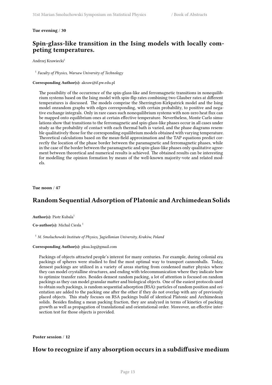#### <span id="page-18-0"></span>**Tue evening** / **30**

## **Spin-glass-like transition in the Ising models with locally competing temperatures.**

Andrzej Krawiecki<sup>1</sup>

1 *Faculty of Physics, Warsaw University of Technology*

#### **Corresponding Author(s):** akraw@if.pw.edu.pl

The possibility of the occurrence of the spin-glass-like and ferromagnetic transitions in nonequilibrium systems based on the Ising model with spin-flip rates combining two Glauber rates at different temperatures is discussed. The models comprise the Sherrington-Kirkpatrick model and the Ising model onrandom graphs with edges corresponding, with certain probability, to positive and negative exchange integrals. Only in rare cases such nonequilibrium systems with non-zero heat flux can be mapped onto equilibrium ones at certain effective temperature. Nevertheless, Monte Carlo simulations show that transitions to the ferromagnetic and spin-glass-like phases occur in all cases under study as the probability of contact with each thermal bath is varied, and the phase diagrams resemble qualitatively those for the corresponding equilibrium models obtained with varying temperature. Theoretical calculations based on the mean-field approximation and the TAP equations predict correctly the location of the phase border between the paramagnetic and ferromagnetic phases, while in the case of the border between the paramagnetic and spin-glass-like phases only qualitative agreement between theoretical and numerical results is achieved. The obtained results can be interesting for modelling the opinion formation by means of the well-known majority-vote and related models.

<span id="page-18-1"></span>**Tue noon** / **47**

## **Random Sequential Adsorption of Platonic and Archimedean Solids**

Author(s): Piotr Kubala<sup>1</sup>

Co-author(s): Michal Ciesla<sup>1</sup>

<sup>1</sup> *M. Smoluchowski Institute of Physics, Jagiellonian University, Kraków, Poland*

#### **Corresponding Author(s):** pkua.log@gmail.com

Packings of objects attracted people's interest for many centuries. For example, during colonial era packings of spheres were studied to find the most optimal way to transport cannonballs. Today, densest packings are utilized in a variety of areas starting from condensed matter physics where they can model crystalline structures, and ending with telecommunication where they indicate how to optimize transfer rates. Besides densest random packing, a lot of attention is focused on random packings as they can model granular matter and biological objects. One of the easiest protocols used to obtain such packings, is random sequential adsorption (RSA): particles of random position and orientation are added to the packing one after the other if they do not overlap with any of previously placed objects. This study focuses on RSA packings build of identical Platonic and Archimedean solids. Besides finding a mean packing fraction, they are analyzed in terms of kinetics of packing growth as well as propagation of translational and orientational order. Moreover, an effective intersection test for those objects is provided.

<span id="page-18-2"></span>**Poster session** / **12**

## **How to recognize if any absorption occurs in a subdiffusive medium**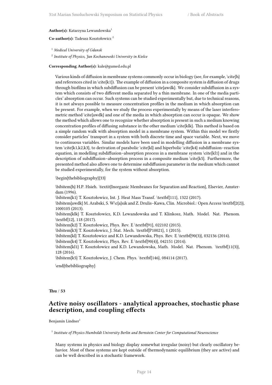#### Author(s): Katarzyna Lewandowska<sup>1</sup>

#### **Co-author(s):** Tadeusz Kosztołowicz <sup>2</sup>

<sup>1</sup> *Medical University of Gdansk*

2 *Institute of Physics, Jan Kochanowski University in Kielce*

#### **Corresponding Author(s):** kale@gumed.edu.pl

Various kinds of diffusion in membrane systems commonly occur in biology (see, for example, \cite{h} and references cited in  $\c{kt}{k1}$ . The example of diffusion in a composite system is diffusion of drugs through biofilms in which subdiffusion can be present \cite{awdk}. We consider subdiffusion in a system which consists of two different media separated by a thin membrane. In one of the media particles' absorption can occur. Such systems can be studied experimentally but, due to technical reasons, it is not always possible to measure concentration profiles in the medium in which absorption can be present. For example, when we study the process experimentally by means of the laser interferometric method \cite{awdk} and one of the media in which absorption can occur is opaque. We show the method which allows one to recognize whether absorption is present in such a medium knowing concentration profiles of diffusing substance in the other medium \cite{klk}. This method is based on a simple random walk with absorption model in a membrane system. Within this model we firstly consider particles' transport in a system with both discrete time and space variable. Next, we move to continuous variables. Similar models have been used in modelling diffusion in a membrane system \cite{k1,k2,k3}, to derivation of parabolic \cite{kl} and hiperbolic \cite{k4} subdiffusion–reaction equation, in modelling subdiffusion–absorption process in a membrane system \cite{kl1} and in the description of subdiffusion–absorption process in a composite medium \cite{k5}. Furthermore, the presented method also allows one to determine subdiffusion parameter in the medium which cannot be studied experimentally, for the system without absorption.

#### \begin{thebibliography}{33}

\bibitem{h} H.P. Hsieh. \textit{Inorganic Membranes for Separation and Reaction}, Elsevier, Amsterdam (1996).

\bibitem{k1} T. Kosztołowicz, Int. J. Heat Mass Transf. \textbf{111}, 1322 (2017).

\bibitem{awdk} M. Arabski, S. W\c{a}sik and Z. Drulis–Kawa, Clin. Microbiol.: Open Access \textbf{2(2)}, 1000105 (2013).

\bibitem{klk} T. Kosztołowicz, K.D. Lewandowska and T. Klinkosz, Math. Model. Nat. Phenom. \textbf{12}, 118 (2017).

\bibitem{k2} T. Kosztołowicz, Phys. Rev. E \textbf{91}, 022102 (2015).

\bibitem{k3} T. Kosztołowicz, J. Stat. Mech. \textbf{P10021}, 1 (2015).

\bibitem{kl} T. Kosztołowicz and K.D. Lewandowska, Phys. Rev. E \textbf{90(3)}, 032136 (2014).

\bibitem{k4} T. Kosztołowicz, Phys. Rev. E \textbf{90(4)}, 042151 (2014).

\bibitem{kl1} T. Kosztołowicz and K.D. Lewandowska, Math. Model. Nat. Phenom. \textbf{11(3)}, 128 (2016).

\bibitem{k5} T. Kosztołowicz, J. Chem. Phys. \textbf{146}, 084114 (2017).

\end{thebibliography}

<span id="page-19-0"></span>**Thu** / **53**

## **Active noisy oscillators - analytical approaches, stochastic phase description, and coupling effects**

Benjamin Lindner<sup>1</sup>

1 *Institute of Physics Humboldt University Berlin and Bernstein Center for Computational Neuroscience*

Many systems in physics and biology display somewhat irregular (noisy) but clearly oscillatory behavior. Most of these systems are kept outside of thermodynamic equilibrium (they are active) and can be well described in a stochastic framework.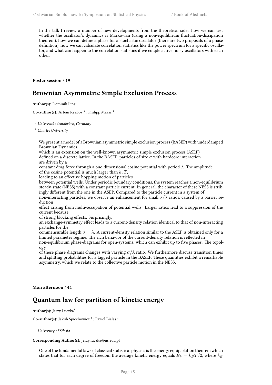In the talk I review a number of new developments from the theoretical side: how we can test whether the oscillator's dynamics is Markovian (using a non-equilibrium fluctuation-dissipation theorem), how we can define a phase for a stochastic oscillator (there are two proposals of a phase definition), how we can calculate correlation statistics like the power spectrum for a specific oscillator, and what can happen to the correlation statistics if we couple active noisy oscillators with each other.

<span id="page-20-0"></span>**Poster session** / **19**

## **Brownian Asymmetric Simple Exclusion Process**

**Author(s):** Dominik Lips<sup>1</sup>

**Co-author(s):** Artem Ryabov<sup>2</sup>; Philipp Maass<sup>1</sup>

<sup>1</sup> *Universität Osnabrück, Germany*

<sup>2</sup> *Charles University*

We present a model of a Brownian asymmetric simple exclusion process (BASEP) with underdamped Brownian Dynamics,

which is an extension on the well-known asymmetric simple exclusion process (ASEP) defined on a discrete lattice. In the BASEP, particles of size *σ* with hardcore interaction are driven by a

constant drag force through a one-dimensional cosine potential with period *λ*. The amplitude of the cosine potential is much larger than  $k_{\text{B}}T$ ,

leading to an effective hopping motion of particles

between potential wells. Under periodic boundary conditions, the system reaches a non-equilibrium steady-state (NESS) with a constant particle current. In general, the character of these NESS is strikingly different from the one in the ASEP. Compared to the particle current in a system of

non-interacting particles, we observe an enhancement for small *σ*/*λ* ratios, caused by a barrier reduction

effect arising from multi-occupation of potential wells. Larger ratios lead to a suppression of the current because

of strong blocking effects. Surprisingly,

an exchange-symmetry effect leads to a current-density relation identical to that of non-interacting particles for the

commensurable length  $\sigma = \lambda$ . A current-density relation similar to the ASEP is obtained only for a limited parameter regime. The rich behavior of the current-density relation is reflected in

non-equilibrium phase-diagrams for open-systems, which can exhibit up to five phases. The topology

of these phase diagrams changes with varying *σ*/*λ* ratio. We furthermore discuss transition times and splitting probabilities for a tagged particle in the BASEP. These quantities exhibit a remarkable asymmetry, which we relate to the collective particle motion in the NESS.

#### <span id="page-20-1"></span>**Mon afternoon** / **44**

## **Quantum law for partition of kinetic energy**

Author(s): Jerzy Luczka<sup>1</sup>

**Co-author(s):** Jakub Spiechowicz<sup>1</sup>; Paweł Bialas<sup>1</sup>

<sup>1</sup> *University of Silesia*

#### **Corresponding Author(s):** jerzy.luczka@us.edu.pl

One of the fundamental laws of classical statistical physics is the energy equipartition theorem which states that for each degree of freedom the average kinetic energy equals  $E_k = k_B T/2$ , where  $k_B$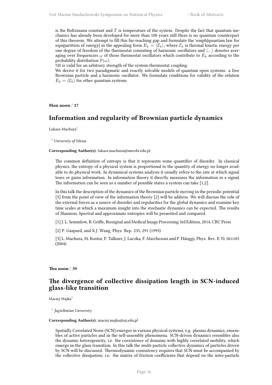is the Boltzmann constant and *T* is temperature of the system. Despite the fact that quantum mechanics has already been developed for more than 100 years still there is no quantum counterpart of this theorem. We attempt to fill this far-reaching gap and formulate the \emph{quantum law for equipartition of energy} in the appealing form  $E_k = \langle \mathcal{E}_k \rangle$ , where  $\mathcal{E}_k$  is thermal kinetic energy per one degree of freedom of the thermostat consisting of harmonic oscillators and *⟨...⟩* denotes averaging over frequencies  $\omega$  of those thermostat oscillators which contribute to  $E_k$  according to the probability distribution  $\mathbb{P}(\omega)$ .

%It is valid for an arbitrary strength of the system-thermostat coupling.

We derive it for two paradigmatic and exactly solvable models of quantum open systems: a free Brownian particle and a harmonic oscillator. We formulate conditions for validity of the relation  $E_k = \langle \mathcal{E}_k \rangle$  for other quantum systems.

<span id="page-21-0"></span>**Mon noon** / **17**

### **Information and regularity of Brownian particle dynamics**

Lukasz Machura<sup>1</sup>

<sup>1</sup> *University of Silesia*

#### **Corresponding Author(s):** lukasz.machura@smcebi.edu.pl

The common definition of entropy is that it represents some quantifier of disorder. In classical physics, the entropy of a physical system is proportional to the quantity of energy no longer available to do physical work. In dynamical systems analysis it usually refers to the rate at which signal loses or gains information. In information theory it directly measures the information in a signal. The information can be seen as a number of possible states a system can take [1,2].

In this talk the description of the dynamics of the Brownian particle moving in the periodic potential [3] from the point of view of the information theory [2] will be address. We will discuss the role of the external forces as a source of disorder and regularities for the global dynamics and examine key time scales at which a maximum insight into the stochastic dynamics can be expected. The results of Shannon, Spectral and approximate entropies will be presented and compared.

[1] J. L. Semmlow, B. Griffe, Biosignal and Medical Image Processing 3rd Edition, 2014, CRC Press

[2] P. Gaspard, and X.J. Wang, Phys. Rep. 235, 291 (1993)

[3] L. Machura, M. Kostur, P. Talkner, J. Luczka, F. Marchesoni and P. Hänggi, Phys. Rev. E 70, 061105 (2004)

#### <span id="page-21-1"></span>**Thu noon** / **39**

## **The divergence of collective dissipation length in SCN-induced glass-like transition**

Maciej Majka<sup>1</sup>

1 *Jagiellonian University*

#### **Corresponding Author(s):** maciej.majka@uj.edu.pl

Spatially Correlated Noise (SCN) emerges in various physical systems, e.g. plasma dynamics, ensembles of active particles and in the self-assembly phenomena. SCN-driven dynamics resembles also the dynamic heterogeneity, i.e. the coexistence of domains with highly correlated mobility, which emerge in the glass transition. In this talk the multi-particle collective dynamics of particles driven by SCN will be discussed. Thermodynamic consistency requires that SCN must be accompanied by the collective dissipation, i.e. the matrix of friction coefficients that depend on the inter-particle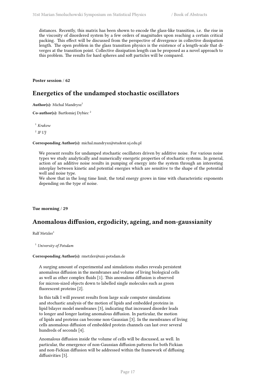distances. Recently, this matrix has been shown to encode the glass-like transition, i.e. the rise in the viscosity of disordered system by a few orders of magnitudes upon reaching a certain critical packing. This effect will be discussed from the perspective of divergence in collective dissipation length. The open problem in the glass transition physics is the existence of a length-scale that diverges at the transition point. Collective dissipation length can be proposed as a novel approach to this problem. The results for hard spheres and soft particles will be compared.

<span id="page-22-0"></span>**Poster session** / **62**

## **Energetics of the undamped stochastic oscillators**

Author(s): Michal Mandrysz<sup>1</sup>

**Co-author(s):** Bartłomiej Dybiec <sup>2</sup>

<sup>1</sup> *Krakow*

2 *IF UJ*

**Corresponding Author(s):** michal.mandrysz@student.uj.edu.pl

We present results for undamped stochastic oscillators driven by additive noise. For various noise types we study analytically and numerically energetic properties of stochastic systems. In general, action of an additive noise results in pumping of energy into the system through an interesting interplay between kinetic and potential energies which are sensitive to the shape of the potential well and noise type.

We show that in the long time limit, the total energy grows in time with characteristic exponents depending on the type of noise.

<span id="page-22-1"></span>**Tue morning** / **29**

## **Anomalous diffusion, ergodicity, ageing, and non-gaussianity**

Ralf Metzler<sup>1</sup>

<sup>1</sup> *University of Potsdam*

#### **Corresponding Author(s):** rmetzler@uni-potsdam.de

A surging amount of experimental and simulations studies reveals persistent anomalous diffusion in the membranes and volume of living biological cells as well as other complex fluids [1]. This anomalous diffusion is observed for micron-sized objects down to labelled single molecules such as green fluorescent proteins [2].

In this talk I will present results from large scale computer simulations and stochastic analysis of the motion of lipids and embedded proteins in lipid bilayer model membranes [3], indicating that increased disorder leads to longer and longer lasting anomalous diffusion. In particular, the motion of lipids and proteins can become non-Gaussian [3]. In the membranes of living cells anomalous diffusion of embedded protein channels can last over several hundreds of seconds [4].

Anomalous diffusion inside the volume of cells will be discussed, as well. In particular, the emergence of non-Gaussian diffusion patterns for both Fickian and non-Fickian diffusion will be addressed within the framework of diffusing diffusivities [5].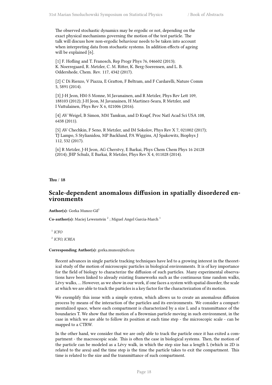The observed stochastic dynamics may be ergodic or not, depending on the exact physical mechanisms governing the motion of the test particle. The talk will discuss how non-ergodic behaviour needs to be taken into account when interpreting data from stochastic systems. In addition effects of ageing will be explained [6].

[1] F. Hofling and T. Franosch, Rep Progr Phys 76, 046602 (2013); K. Noerregaard, R. Metzler, C. M. Ritter, K. Berg-Soerensen, and L. B. Oddershede, Chem. Rev. 117, 4342 (2017).

[2] C Di Rienzo, V Piazza, E Gratton, F Beltram, and F Cardarelli, Nature Comm 5, 5891 (2014).

[3] J-H Jeon, HM-S Monne, M Javanainen, and R Metzler, Phys Rev Lett 109, 188103 (2012); J-H Jeon, M Javanainen, H Martinez-Seara, R Metzler, and I Vattulainen, Phys Rev X 6, 021006 (2016).

[4] AV Weigel, B Simon, MM Tamkun, and D Krapf, Proc Natl Acad Sci USA 108, 6438 (2011).

[5] AV Chechkin, F Seno, R Metzler, and IM Sokolov, Phys Rev X 7, 021002 (2017); TJ Lampo, S Stylianidou, MP Backlund, PA Wiggins, AJ Spakowitz, Biophys J 112, 532 (2017).

[6] R Metzler, J-H Jeon, AG Cherstvy, E Barkai, Phys Chem Chem Phys 16 24128 (2014); JHP Schulz, E Barkai, R Metzler, Phys Rev X 4, 011028 (2014).

<span id="page-23-0"></span>**Thu** / **18**

## **Scale-dependent anomalous diffusion in spatially disordered environments**

**Author(s):** Gorka Munoz-Gil<sup>1</sup>

Co-author(s): Maciej Lewenstein<sup>2</sup>; Miguel Angel Garcia-March<sup>1</sup>

1 *ICFO* 2 *ICFO, ICREA*

#### **Corresponding Author(s):** gorka.munoz@icfo.eu

Recent advances in single particle tracking techniques have led to a growing interest in the theoretical study of the motion of microscopic particles in biological environments. It is of key importance for the field of biology to characterize the diffusion of such particles. Many experimental observations have been linked to already existing frameworks such as the continuous time random walks, Lévy walks, … However, as we show in our work, if one faces a system with spatial disorder, the scale at which we are able to track the particles is a key factor for the characterization of its motion.

We exemplify this issue with a simple system, which allows us to create an anomalous diffusion process by means of the interaction of the particles and its environments. We consider a compartmentalized space, where each compartment is characterized by a size L and a transmittance of the boundaries T. We show that the motion of a Brownian particle moving in such environment, in the case in which we are able to follow its position at each time step - the microscopic scale - can be mapped to a CTRW.

In the other hand, we consider that we are only able to track the particle once it has exited a compartment - the macroscopic scale. This is often the case in biological systems. Then, the motion of the particle can be modeled as a Lévy walk, in which the step size has a length L (which in 2D is related to the area) and the time step is the time the particle takes to exit the compartment. This time is related to the size and the transmittance of such compartment.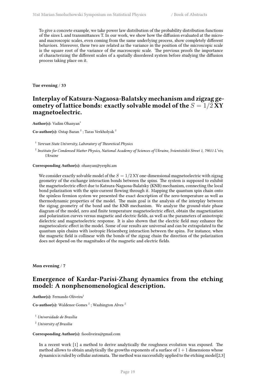To give a concrete example, we take power law distribution of the probability distribution functions of the sizes L and transmittances T. In our work, we show how the diffusion evaluated at the microand macroscopic scales, even coming from the same underlying process, show completely different behaviors. Moreover, these two are related as the variance in the position of the microscopic scale is the square root of the variance of the macroscopic scale. The previous proofs the importance of characterizing the different scales of a spatially disordered system before studying the diffusion process taking place on it.

<span id="page-24-0"></span>**Tue evening** / **33**

## **Interplay of Katsura-Nagaosa-Balatsky mechanism and zigzag geometry of lattice bonds: exactly solvable model of the**  $S = 1/2$  **XY magnetoelectric.**

**Author(s):** Vadim Ohanyan<sup>1</sup>

**Co-author(s):** Ostap Baran<sup>2</sup>; Taras Verkholyak<sup>2</sup>

1 *Yerevan State University, Laboratory of Theoretical Physics*

2 *Institute for Condensed Matter Physics, National Academy of Sciences of Ukraine, Svientsitskii Street 1, 79011 L'viv, Ukraine*

**Corresponding Author(s):** ohanyan@yerphi.am

We consider exactly solvable model of the  $S = 1/2$  XY one-dimensional magnetoelectric with zigzag geometry of the exchange interaction bonds between the spins. The system is supposed to exhibit the magnetoelectric effect due to Katsura-Nagaosa-Balatsky (KNB) mechanism, connecting the local bond polarization with the spin-current flowing through it. Mapping the quantum spin chain onto the spinless fermion system we presented the exact description of the zero-temperature as well as thermodynamic properties of the model. The main goal is the analysis of the interplay between the zigzag geometry of the bond and the KNB mechanism. We analyze the ground-state phase diagram of the model, zero and finite temperature magnetoelectric effect, obtain the magnetization and polarization curves versus magnetic and electric fields, as well as the parameters of anisotropic dielectric and magnetoelectric response. It is also shown that the electric field may enhance the magnetocaloric effect in the model. Some of our results are universal and can be extrapolated to the quantum spin chains with isotropic Heisenberg interaction between the spins. For instance, when the magnetic field is collinear with the bonds of the zigzag chain the direction of the polarization does not depend on the magnitudes of the magnetic and electric fields.

<span id="page-24-1"></span>**Mon evening** / **7**

## **Emergence of Kardar-Parisi-Zhang dynamics from the etching model: A nonphenomenological description.**

Author(s): Fernando Oliveira<sup>1</sup>

**Co-author(s):** Waldenor Gomes<sup>2</sup>; Washington Alves<sup>2</sup>

<sup>1</sup> *Universidade de Brasília*

<sup>2</sup> *University of Brasilia*

#### **Corresponding Author(s):** faooliveira@gmail.com

In a recent work [1] a method to derive analytically the roughness evolution was exposed. The method allows to obtain analytically the growths exponents of a surface of  $1 + 1$  dimensions whose dynamics is ruled by cellular automata. The method was successfully applied to the etching model[2,3]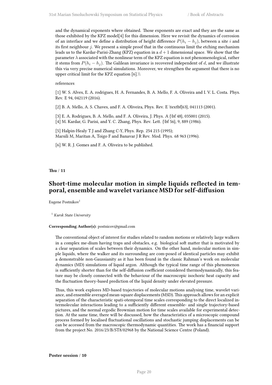and the dynamical exponents where obtained. Those exponents are exact and they are the same as those exhibited by the KPZ model[4] for this dimension. Here we revisit the dynamics of corrosion of an interface and we define a distribution of height difference  $P(h_i - h_j)$ , between a site *i* and its first neighbour *j*. We present a simple proof that in the continuous limit the etching mechanism leads us to the Kardar-Parisi-Zhang (KPZ) equation in a  $d+1$  dimensional space. We show that the parameter *λ* associated with the nonlinear term of the KPZ equation is not phenomenological, rather it stems from  $P(h_i - h_j)$ . The Galilean invariance is recovered independent of *d*, and we illustrate this via very precise numerical simulations. Moreover, we strengthen the argument that there is no upper critical limit for the KPZ equation  $[6]$ .

#### references

[1] W. S. Alves, E. A. rodrigues, H. A. Fernandes, B. A. Mello, F. A. Oliveira and I. V. L. Costa. Phys. Rev. E 94, 042119 (2016).

[2] B. A. Mello, A. S. Chaves, and F. A. Oliveira, Phys. Rev. E \textbf{63}, 041113 (2001).

[3] E. A. Rodrigues, B. A. Mello, and F. A. Oliveira, J. Phys. A {\bf 48}, 035001 (2015). [4] M. Kardar, G. Parisi, and Y. C. Zhang, Phys. Rev. Lett. {\bf 56}, 9, 889 (1986).

[5] Halpin-Healy T J and Zhang C-Y, Phys. Rep. 254 215 (1995); Marsili M, Maritan A, Toigo F and Banavar J R Rev. Mod. Phys. 68 963 (1996).

[6] W. R. J. Gomes and F. A. Oliveira to be published.

#### <span id="page-25-0"></span>**Thu** / **11**

## **Short-time molecular motion in simple liquids reflected in temporal, ensemble and wavelet variance MSD for self-diffusion**

Eugene Postnikov<sup>1</sup>

<sup>1</sup> *Kursk State University*

#### **Corresponding Author(s):** postnicov@gmail.com

The conventional object of interest for studies related to random motions or relatively large walkers in a complex me-dium having traps and obstacles, e.g. biological soft matter that is motivated by a clear separation of scales between their dynamics. On the other hand, molecular motion in simple liquids, where the walker and its surrounding are com-posed of identical particles may exhibit a demonstrable non-Gaussianity as it has been found in the classic Rahman's work on molecular dynamics (MD) simulations of liquid argon. Although the typical time range of this phenomenon is sufficiently shorter than for the self-diffusion coefficient considered thermodynamically, this feature may be closely connected with the behaviour of the macroscopic isochoric heat capacity and the fluctuation theory-based prediction of the liquid density under elevated pressure.

<span id="page-25-1"></span>Thus, this work explores MD-based trajectories of molecular motions analysing time, wavelet variance, and ensemble averaged mean-square displacements (MSD). This approach allows for an explicit separation of the characteristic spati-otemporal time scales corresponding to the direct localized intermolecular interactions leading to a sufficiently different ensemble- and single trajectory-based pictures, and the normal ergodic Brownian motion for time scales available for experimental detection. At the same time, there will be discussed, how the characteristics of a microscopic compound process formed by localised fluctuational oscillations and stochastic jumping displacements can be can be accessed from the macroscopic thermodynamic quantities. The work has a financial support from the project No. 2016/23/B/ST8/02968 by the National Science Centre (Poland).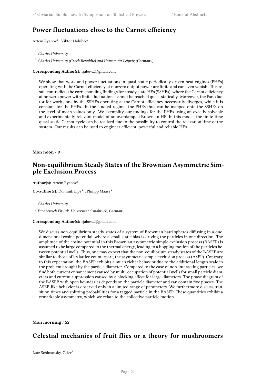## **Power fluctuations close to the Carnot efficiency**

Artem  $\text{Ryabov}^1$  ; Viktor Holubec<sup>2</sup>

<sup>1</sup> *Charles University*

<sup>2</sup> *Charles University (Czech Republic) and Universität Leipzig (Germany)*

**Corresponding Author(s):** rjabov.a@gmail.com

We show that work and power fluctuations in quasi-static periodically driven heat engines (PHEs) operating with the Carnot efficiency at nonzero output power are finite and can even vanish. This result contradicts the corresponding findings for steady state HEs (SSHEs), where the Carnot efficiency at nonzero power with finite fluctuations cannot be reached quasi-statically. Moreover, the Fano factor for work done by the SSHEs operating at the Carnot efficiency necessarily diverges, while it is constant for the PHEs. In the studied regime, the PHEs thus can be mapped onto the SSHEs on the level of mean values only. We exemplify our findings for the PHEs using an exactly solvable and experimentally relevant model of an overdamped Brownian HE. In this model, the finite-time quasi-static Carnot cycle can be realized due to the possibility to control the relaxation time of the system. Our results can be used to engineer efficient, powerful and reliable HEs.

<span id="page-26-0"></span>**Mon noon** / **9**

## **Non-equilibrium Steady States of the Brownian Asymmetric Simple Exclusion Process**

**Author(s):** Artem Ryabov<sup>1</sup>

**Co-author(s):** Dominik Lips<sup>2</sup>; Philipp Maass<sup>2</sup>

<sup>1</sup> *Charles University*

2 *Fachbereich Physik, Universität Osnabrück, Germany*

#### **Corresponding Author(s):** rjabov.a@gmail.com

We discuss non-equilibrium steady states of a system of Brownian hard spheres diffusing in a onedimensional cosine potential, where a small static bias is driving the particles in one direction. The amplitude of the cosine potential in this Brownian asymmetric simple exclusion process (BASEP) is assumed to be large compared to the thermal energy, leading to a hopping motion of the particles between potential wells. Thus, one may expect that the non-equilibrium steady states of the BASEP are similar to those of its lattice counterpart, the asymmetric simple exclusion process (ASEP). Contrary to this expectation, the BASEP exhibits a much richer behavior due to the additional length scale in the problem brought by the particle diameter. Compared to the case of non-interacting particles, we find both current enhancement caused by multi-occupation of potential wells for small particle diameters and current suppression caused by a blocking effect for large diameters. The phase diagram of the BASEP with open boundaries depends on the particle diameter and can contain five phases. The ASEP-like behavior is observed only in a limited range of parameters. We furthermore discuss transition times and splitting probabilities for a tagged particle in the BASEP. These quantities exhibit a remarkable asymmetry, which we relate to the collective particle motion.

<span id="page-26-1"></span>**Mon morning** / **52**

## **Celestial mechanics of fruit flies or a theory for mushroomers**

Lutz Schimansky-Geier<sup>1</sup>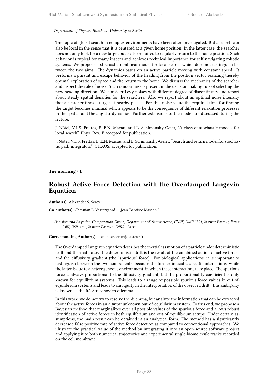<sup>1</sup> *Department of Physics, Humboldt-University at Berlin*

The topic of global search in complex environments have been often investigated. But a search can also be local in the sense that it is centered at a given home position. In the latter case, the searcher does not only look for a new target but is also required to regularly return to the home position. Such behavior is typical for many insects and achieves technical importance for self-navigating robotic systems. We propose a stochastic nonlinear model for local search which does not distinguish between the two aims. The dynamics bases on an active particle moving with constant speed. It performs a pursuit and escape behavior of the heading from the position vector realizing thereby optimal exploration of space and the return to the home. We discuss the mechanics of the searcher and inspect the role of noise. Such randomness is present in the decision making rule of selecting the new heading direction. We consider Levy noises with different degree of discontinuity and report about steady spatial densities for the searchers. Also we report about an optimal noise intensity that a searcher finds a target at nearby places. For this noise value the required time for finding the target becomes minimal which appears to be the consequence of different relaxation processes in the spatial and the angular dynamics. Further extensions of the model are discussed during the lecture.

J. Nötel, V.L.S. Freitas, E. E.N. Macau, and L. Schimansky-Geier, "A class of stochastic models for local search", Phys. Rev. E accepted for publication.

J. Nötel, V.L.S. Freitas, E. E.N. Macau, and L. Schimansky-Geier, "Search and return model for stochastic path integrators", CHAOS, accepted for publication.

<span id="page-27-0"></span>**Tue morning** / **1**

## **Robust Active Force Detection with the Overdamped Langevin Equation**

Author(s): Alexander S. Serov<sup>1</sup>

Co-author(s): Christian L. Vestergaard<sup>1</sup>; Jean-Baptiste Masson<sup>1</sup>

<sup>1</sup> *Decision and Bayesian Computation Group, Department of Neuroscience, CNRS, UMR 3571, Institut Pasteur, Paris; C3BI, USR 3756, Institut Pasteur, CNRS - Paris*

#### **Corresponding Author(s):** alexander.serov@pasteur.fr

The Overdamped Langevin equation describes the inertialess motion of a particle under deterministic drift and thermal noise. The deterministic drift is the result of the combined action of active forces and the diffusivity gradient (the "spurious" force). For biological applications, it is important to distinguish between the two components, because the former indicates specific interactions, while the latter is due to a heterogeneous environment, in which these interactions take place. The spurious force is always proportional to the diffusivity gradient, but the proportionality coefficient is only known for equilibrium systems. This leads to a range of possible spurious force values in out-ofequilibrium systems and leads to ambiguity in the interpretation of the observed drift. This ambiguity is known as the Itô-Stratonovich dilemma.

<span id="page-27-1"></span>In this work, we do not try to resolve the dilemma, but analyze the information that can be extracted about the active forces in an *a priori* unknown out-of-equilibrium system. To this end, we propose a Bayesian method that marginalizes over all possible values of the spurious force and allows robust identification of active forces in both equilibrium and out-of-equilibrium setups. Under certain assumptions, the main result can be obtained in an analytical form. The method has a significantly decreased false positive rate of active force detection as compared to conventional approaches. We illustrate the practical value of the method by integrating it into an open-source software project and applying it to both numerical trajectories and experimental single-biomolecule tracks recorded on the cell membrane.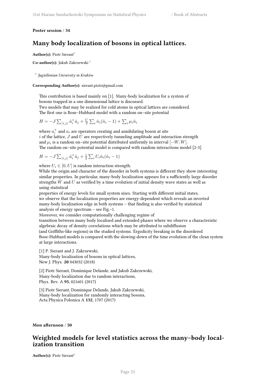#### **Poster session** / **34**

## **Many body localization of bosons in optical lattices.**

**Author(s): Piotr Sierant<sup>1</sup>** 

**Co-author(s):** Jakub Zakrzewski <sup>1</sup>

1 *Jagiellonian University in Kraków*

**Corresponding Author(s):** sierant.piotr@gmail.com

This contribution is based mainly on [1]. Many-body localization for a system of bosons trapped in a one dimensional lattice is discussed.

Two models that may be realized for cold atoms in optical lattices are considered. The first one is Bose–Hubbard model with a random on–site potential

$$
H = -J\sum_{\langle i,j\rangle} \hat{a}_i^{\dagger} \hat{a}_j + \frac{U}{2} \sum_i \hat{n}_i (\hat{n}_i - 1) + \sum_i \mu_i \hat{n}_i
$$

where  $a_i^+$  and  $a_i$  are operators creating and annihilating boson at site *i* of the lattice, *J* and *U* are respectively tunneling amplitude and interaction strength and  $\mu_i$  is a random on–site potential distributed uniformly in interval  $[-W, W]$ . The random on–site potential model is compared with random interactions model [2-3]

$$
H = -J \sum_{\langle i,j \rangle} \hat{a}_i^{\dagger} \hat{a}_j + \frac{1}{2} \sum_i U_i \hat{n}_i (\hat{n}_i - 1)
$$

where  $U_i \in [0, U]$  is random interaction strength.

While the origin and character of the disorder in both systems is different they show interesting similar properties. In particular, many-body localization appears for a sufficiently large disorder strengths *W* and *U* as verified by a time evolution of initial density wave states as well as using statistical

properties of energy levels for small system sizes. Starting with different initial states, we observe that the localization properties are energy-dependent which reveals an inverted many-body localization edge in both systems – that finding is also verified by statistical analysis of energy spectrum – see Fig. $\sim$ 1.

Moreover, we consider computationally challenging regime of

transition between many body localized and extended phases where we observe a characteristic algebraic decay of density correlations which may be attributed to subdiffusion (and Griffiths-like regions) in the studied systems. Ergodicity breaking in the disordered Bose-Hubbard models is compared with the slowing-down of the time evolution of the clean system at large interactions.

[1] P. Sierant and J. Zakrzewski, Many-body localization of bosons in optical lattices, New J. Phys. **20** 043032 (2018)

[2] Piotr Sierant, Dominique Delande, and Jakub Zakrzewski, Many-body localization due to random interactions, Phys. Rev. A **95**, 021601 (2017)

[3] Piotr Sierant, Dominique Delande, Jakub Zakrzewski, Many-body localization for randomly interacting bosons, Acta Physica Polonica A **132**, 1707 (2017)

<span id="page-28-0"></span>**Mon afternoon** / **50**

## **Weighted models for level statistics across the many–body localization transition**

**Author(s): Piotr Sierant<sup>1</sup>**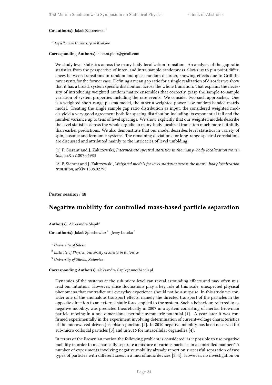#### **Co-author(s):** Jakub Zakrzewski <sup>1</sup>

#### 1 *Jagiellonian University in Kraków*

#### **Corresponding Author(s):** sierant.piotr@gmail.com

We study level statistics across the many-body localization transition. An analysis of the gap ratio statistics from the perspective of inter- and intra-sample randomness allows us to pin point differences between transitions in random and quasi-random disorder, showing effects due to Griffiths rare events for the former case. Defining a mean gap ratio for a single realization of disorder we show that it has a broad, system specific distribution across the whole transition. That explains the necessity of introducing weighted random matrix ensembles that correctly grasp the sample-to-sample variation of system properties including the rare events. We consider two such approaches. One is a weighted short-range plasma model, the other a weighted power–law random banded matrix model. Treating the single sample gap ratio distribution as input, the considered weighted models yield a very good agreement both for spacing distribution including its exponential tail and the number variance up to tens of level spacings. We show explicitly that our weighted models describe the level statistics across the whole ergodic to many-body localized transition much more faithfully than earlier predictions. We also demonstrate that our model describes level statistics in variety of spin, bosonic and fermionic systems. The remaining deviations for long-range spectral correlations are discussed and attributed mainly to the intricacies of level unfolding.

[1] P. Sierant and J. Zakrzewski, *Intermediate spectral statistics in the many–body localization transition*, arXiv:1807.06983

[2] P. Sierant and J. Zakrzewski, *Weighted models for level statistics across the many–body localization transition*, arXiv:1808.02795

#### <span id="page-29-0"></span>**Poster session** / **48**

## **Negative mobility for controlled mass-based particle separation**

**Author(s):** Aleksandra Slapik<sup>1</sup>

Co-author(s): Jakub Spiechowicz<sup>2</sup>; Jerzy Łuczka<sup>3</sup>

<sup>1</sup> *University of Silesia*

2 *Institute of Physics, University of Silesia in Katowice*

<sup>3</sup> *University of Silesia, Katowice*

#### **Corresponding Author(s):** aleksandra.slapik@smcebi.edu.pl

Dynamics of the systems at the sub-micro level can reveal astounding effects and may often mislead our intuition. However, since fluctuations play a key role at this scale, unexpected physical phenomena that contradict our everyday experience should not be a surprise. In this study we consider one of the anomalous transport effects, namely the directed transport of the particles in the opposite direction to an external static force applied to the system. Such a behaviour, referred to as negative mobility, was predicted theoretically in 2007 in a system consisting of inertial Brownian particle moving in a one-dimensional periodic symmetric potential [1]. A year later it was confirmed experimentally in the experiment involving determination of current-voltage characteristics of the microwaved-driven Josephson junction [2]. In 2010 negative mobility has been observed for sub-micro colloidal particles [3] and in 2016 for intracellular organelles [4].

In terms of the Brownian motion the following problem is considered: is it possible to use negative mobility in order to mechanically separate a mixture of various particles in a controlled manner? A number of experiments involving negative mobility already report on successful separation of two types of particles with different sizes in a microfluidic devices [3, 4]. However, no investigation on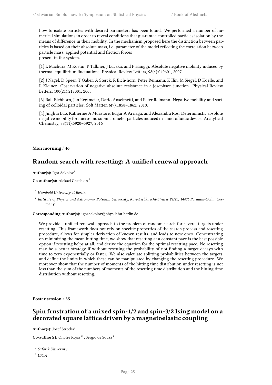how to isolate particles with desired parameters has been found. We performed a number of numerical simulations in order to reveal conditions that guarantee controlled particles isolation by the means of difference in their mobility. In the mechanism proposed here the distinction between particles is based on their absolute mass, i.e. parameter of the model reflecting the correlation between particle mass, applied potential and friction forces present in the system.

[1] L Machura, M Kostur, P Talkner, J Luczka, and P Hanggi. Absolute negative mobility induced by thermal equilibrium fluctuations. Physical Review Letters, 98(4):040601, 2007

[2] J Nagel, D Speer, T Gaber, A Sterck, R Eich-horn, Peter Reimann, K Ilin, M Siegel, D Koelle, and R Kleiner. Observation of negative absolute resistance in a josephson junction. Physical Review Letters, 100(21):217001, 2008

[3] Ralf Eichhorn, Jan Regtmeier, Dario Anselmetti, and Peter Reimann. Negative mobility and sorting of colloidal particles. Soft Matter, 6(9):1858–1862, 2010.

[4] Jinghui Luo, Katherine A Muratore, Edgar A Arriaga, and Alexandra Ros. Deterministic absolute negative mobility for micro-and submicrometer particles induced in a microfluidic device. Analytical Chemistry, 88(11):5920–5927, 2016

<span id="page-30-0"></span>**Mon morning** / **46**

## **Random search with resetting: A unified renewal approach**

Author(s): Igor Sokolov<sup>1</sup>

**Co-author(s):** Aleksei Chechkin <sup>2</sup>

<sup>1</sup> *Humbold University at Berlin*

2 *Institute of Physics and Astronomy, Potsdam University, Karl-Liebknecht-Strasse 24/25, 14476 Potsdam-Golm, Germany*

**Corresponding Author(s):** igor.sokolov@physik.hu-berlin.de

We provide a unified renewal approach to the problem of random search for several targets under resetting. This framework does not rely on specific properties of the search process and resetting procedure, allows for simpler derivation of known results, and leads to new ones. Concentrating on minimizing the mean hitting time, we show that resetting at a constant pace is the best possible option if resetting helps at all, and derive the equation for the optimal resetting pace. No resetting may be a better strategy if without resetting the probability of not finding a target decays with time to zero exponentially or faster. We also calculate splitting probabilities between the targets, and define the limits in which these can be manipulated by changing the resetting procedure. We moreover show that the number of moments of the hitting time distribution under resetting is not less than the sum of the numbers of moments of the resetting time distribution and the hitting time distribution without resetting.

<span id="page-30-1"></span>**Poster session** / **35**

## **Spin frustration of a mixed spin-1/2 and spin-3/2 Ising model on a decorated square lattice driven by a magnetoelastic coupling**

Author(s): Jozef Strecka<sup>1</sup>

**Co-author(s):** Onofre Rojas<sup>2</sup>; Sergio de Souza<sup>2</sup>

1 *Safarik University*

<sup>2</sup> *UFLA*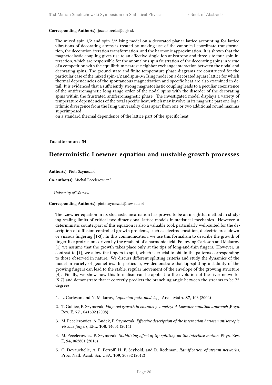#### **Corresponding Author(s):** jozef.strecka@upjs.sk

The mixed spin-1/2 and spin-3/2 Ising model on a decorated planar lattice accounting for lattice vibrations of decorating atoms is treated by making use of the canonical coordinate transformation, the decoration-iteration transformation, and the harmonic approximation. It is shown that the magnetoelastic coupling gives rise to an effective single-ion anisotropy and three-site four-spin interaction, which are responsible for the anomalous spin frustration of the decorating spins in virtue of a competition with the equilibrium nearest-neighbor exchange interaction between the nodal and decorating spins. The ground-state and finite-temperature phase diagrams are constructed for the particular case of the mixed spin-1/2 and spin-3/2 Ising model on a decorated square lattice for which thermal dependencies of the spontaneous magnetization and specific heat are also examined in detail. It is evidenced that a sufficiently strong magnetoelastic coupling leads to a peculiar coexistence of the antiferromagnetic long-range order of the nodal spins with the disorder of the decorating spins within the frustrated antiferromagnetic phase. The investigated model displays a variety of temperature dependencies of the total specific heat, which may involve in its magnetic part one logarithmic divergence from the Ising universality class apart from one or two additional round maxima superimposed

on a standard thermal dependence of the lattice part of the specific heat.

#### **Tue afternoon** / **54**

## **Deterministic Loewner equation and unstable growth processes**

Author(s): Piotr Szymczak<sup>1</sup>

**Co-author(s):** Michał Pecelerowicz <sup>1</sup>

<sup>1</sup> *University of Warsaw*

#### **Corresponding Author(s):** piotr.szymczak@fuw.edu.pl

The Loewner equation in its stochastic incarnation has proved to be an insightful method in studying scaling limits of critical two-dimensional lattice models in statistical mechanics. However, a deterministic counterpart of this equation is also a valuable tool, particularly well-suited for the description of diffusion-controlled growth problems, such as electrodeposition, dielectric breakdown or viscous fingering [1-3]. In this communication, we use this formalism to describe the growth of finger-like protrusions driven by the gradient of a harmonic field. Following Carleson and Makarov [1] we assume that the growth takes place only at the tips of long-and-thin fingers. However, in contrast to [1], we allow the fingers to split, which is crucial to obtain the patterns corresponding to those observed in nature. We discuss different splitting criteria and study the dynamics of the model in variety of geometries. In particular, we demonstrate that tip-splitting instability of the growing fingers can lead to the stable, regular movement of the envelope of the growing structure [4]. Finally, we show how this formalism can be applied to the evolution of the river networks [5-7] and demonstrate that it correctly predicts the branching angle between the streams to be 72 degrees.

- 1. L. Carleson and N. Makarov, *Laplacian path models*, J. Anal. Math. **87**, 103 (2002)
- 2. T. Gubiec, P. Szymczak, *Fingered growth in channel geometry: A Loewner equation approach* ,Phys. Rev. E, **77** , 041602 (2008)
- 3. M. Pecelerowicz, A. Budek, P. Szymczak, *Effective description of the interaction between anisotropic viscous fingers*, EPL, **108**, 14001 (2014)
- 4. M. Pecelerowicz, P. Szymczak, *Stabilizing effect of tip-splitting on the interface motion*, Phys. Rev. E, **94**, 062801 (2016)
- 5. O. Devauchelle, A. P. Petroff, H. F. Seybold, and D. Rothman, *Ramification of stream networks*, Proc. Natl. Acad. Sci. USA, **109**, 20832 (2012)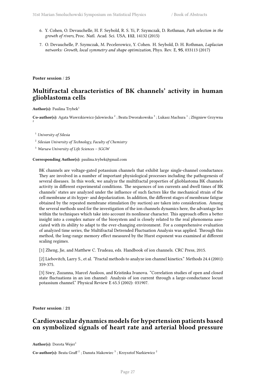- 6. Y. Cohen, O. Devauchelle, H. F. Seybold, R. S. Yi, P. Szymczak, D. Rothman, *Path selection in the growth of rivers*, Proc. Natl. Acad. Sci. USA, **112**, 14132 (2015)
- 7. O. Devauchelle, P. Szymczak, M. Pecelerowicz, Y. Cohen. H. Seybold, D. H. Rothman, *Laplacian networks: Growth, local symmetry and shape optimization*, Phys. Rev. E, **95**, 033113 (2017)

**Poster session** / **25**

## **Multifractal characteristics of BK channels' activity in human glioblastoma cells**

**Author(s):** Paulina Trybek<sup>1</sup>

 $\bf Co\text{-}author(s):$  Agata Wawrzkiewicz-Jalowiecka  $^2$  ; Beata Dworakowska  $^3$  ; Lukasz Machura  $^1$  ; Zbigniew Grzywna 2

<sup>1</sup> *University of Silesia*

2 *Silesian University of Technology, Faculty of Chemistry*

<sup>3</sup> *Warsaw University of Life Sciences – SGGW*

**Corresponding Author(s):** paulina.trybek@gmail.com

BK channels are voltage-gated potassium channels that exhibit large single-channel conductance. They are involved in a number of important physiological processes including the pathogenesis of several diseases. In this work, we analyze the multifractal properties of glioblastoma BK channels activity in different experimental conditions. The sequences of ion currents and dwell times of BK channels' states are analyzed under the influence of such factors like the mechanical strain of the cell membrane at its hyper- and depolarization. In addition, the different stages of membrane fatigue obtained by the repeated membrane stimulation (by suction) are taken into consideration. Among the several methods used for the investigation of the ion channels dynamics here, the advantage lies within the techniques which take into account its nonlinear character. This approach offers a better insight into a complex nature of the biosystem and is closely related to the real phenomena associated with its ability to adapt to the ever-changing environment. For a comprehensive evaluation of analyzed time series, the Multifractal Detrended Fluctuation Analysis was applied. Through this method, the long-range memory effect measured by the Hurst exponent was examined at different scaling regimes.

[1] Zheng, Jie, and Matthew C. Trudeau, eds. Handbook of ion channels. CRC Press, 2015.

[2] Liebovitch, Larry S., et al. "Fractal methods to analyze ion channel kinetics." Methods 24.4 (2001): 359-375.

[3] Siwy, Zuzanna, Marcel Ausloos, and Kristinka Ivanova. "Correlation studies of open and closed state fluctuations in an ion channel: Analysis of ion current through a large-conductance locust potassium channel." Physical Review E 65.3 (2002): 031907.

<span id="page-32-0"></span>**Poster session** / **21**

## **Cardiovascular dynamics models for hypertension patients based on symbolized signals of heart rate and arterial blood pressure**

**Author(s):** Dorota Wejer<sup>1</sup>

**Co-author(s):** Beata Graff  $^2$  ; Danuta Makowiec  $^3$  ; Krzysztof Narkiewicz  $^2$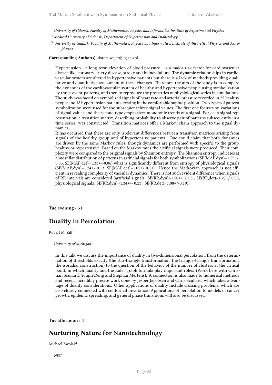- <sup>1</sup> *University of Gdańsk, Faculty of Mathematics, Physics and Informatics, Institute of Experimental Physics*
- <sup>2</sup> *Medical University of Gdansk, Department of Hypertension and Diabetology*
- <sup>3</sup> *University of Gdansk, Faculty of Mathematics, Physics and Informatics, Institute of Theoretical Physics and Astrophysics*

#### **Corresponding Author(s):** dorota.wejer@ug.edu.pl

Hypertension - a long-term elevation of blood pressure - is a major risk factor for cardiovascular disease like coronary artery disease, stroke and kidney failure. The dynamic relationships in cardiovascular system are altered in hypertensive patients but there is a lack of methods providing qualitative and quantitative assessment of these changes. Therefore, the aim of the study is to compare the dynamics of the cardiovascular system of healthy and hypertensive people using symbolization by three-event-patterns, and then to reproduce the properties of physiological series in simulations. The study was based on symbolized signals of heart rate and arterial pressure recorded in 25 healthy people and 38 hypertension patients, resting in the comfortable supine position. Two types of pattern symbolization were used for the subsequent three signal values. The first one focuses on variations of signal values and the second type emphasizes monotonic trends of a signal. For each signal representation, a transition matrix, describing probability to observe pair of patterns subsequently in a time series, was constructed. Transition matrices offer a Markov chain approach to the signal dynamics.

It has occurred that there are only irrelevant differences between transition matrices arising from signals of the healthy group and of hypertensive patients. One could claim that both dynamics are driven by the same Markov rules, though dynamics are performed with specific to the group: healthy or hypertensive. Based on the Markov rates the artificial signals were produced. Their complexity were compared to the original signals by Shannon entropy. The Shannon entropy indicates at almost flat distribution of patterns in artificial signals for both symbolizations (SE(MAP,dyn)=1.59+/- 0.03, SE(MAP,det)=1.33+/-0.06) what is significantly different from entropy of physiological signals  $(SE(MAP, dyn)=1.24+/-0.13, SE(MAP, det)=1.02+/-0.11)$ . Hence the Markovian approach is not efficient in revealing complexity of vascular dynamics. There is not such evident difference when signals of RR-intervals are considered (artificial signals: SE(RR,dyn)=1.50+/- 0.03 , SE(RR,det)=1.27+/-0.05, physiological signals: SE(RR,dyn)=1.34+/- 0.23 , SE(RR,det)=1.08+/-0.19).

**Tue evening** / **51**

#### **Duality in Percolation**

Robert M.  $Ziff^1$ 

<sup>1</sup> *University of Michigan*

In this talk we discuss the importance of duality in two-dimensional percolation, from the determination of thresholds exactly (the star-triangle transformation, the triangle-triangle transformation, the isoradial construction) to the question of the behavior of the number of clusters at the critical point, in which duality and the Euler graph formula play important roles. (Work here with Christian Scullard, Youjin Deng and Stephan Mertens). A connection is also made to numerical methods and recent incredibly precise work done by Jesper Jacobsen and Chris Scullard, which takes advantage of duality considerations. Other applications of duality include crossing problems, which are also closely connected with conformal invariance. Applications of percolation to models of cancer growth, epidemic spreading, and general phase transitions will also be discussed.

**Tue afternoon** / **4**

### **Nurturing Nature for Nanotechnology**

Michael Zwolak<sup>1</sup>

<sup>1</sup> *NIST*